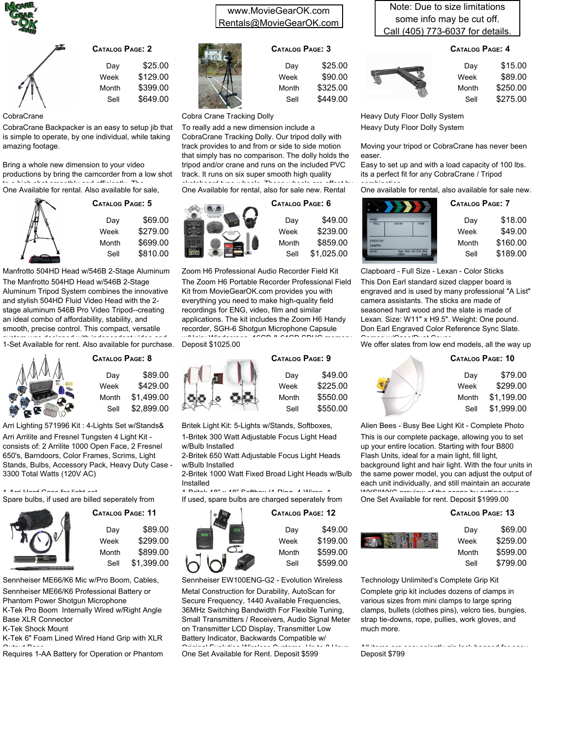



| Dav   | \$25.00  |
|-------|----------|
| Week  | \$129.00 |
| Month | \$399.00 |
| Sell  | \$649.00 |
|       |          |

CobraCrane

CobraCrane Backpacker is an easy to setup jib that is simple to operate, by one individual, while taking amazing footage.

Bring a whole new dimension to your video productions by bring the camcorder from a low shot<br>the client shot are of the and officiently. The to a high shot smoothly and efficiently. The One Available for rental. Also available for sale,



| Dav   | \$69.00  |
|-------|----------|
| Week  | \$279.00 |
| Month | \$699.00 |
| Sell  | \$810.00 |
|       |          |

**5 CATALOG PAGE:**

The Manfrotto 504HD Head w/546B 2-Stage Aluminum Tripod System combines the innovative and stylish 504HD Fluid Video Head with the 2 stage aluminum 546B Pro Video Tripod--creating an ideal combo of affordability, stability, and smooth, precise control. This compact, versatile system was designed with independent video and Manfrotto 504HD Head w/546B 2-Stage Aluminum

1-Set Available for rent. Also available for purchase.



**8 CATALOG PAGE:** \$89.00 \$429.00 \$1,499.00 Day Week Month

Sell

\$2,899.00

Arri Arrilite and Fresnel Tungsten 4 Light Kit consists of: 2 Arrilite 1000 Open Face, 2 Fresnel 650's, Barndoors, Color Frames, Scrims, Light Stands, Bulbs, Accessory Pack, Heavy Duty Case - 3300 Total Watts (120V AC) Arri Lighting 571996 Kit : 4-Lights Set w/Stands&

1-Arri Hard Case for light set. Spare bulbs, if used are billed seperately from



## **11 CATALOG PAGE:**

| Dav   | \$89.00    |
|-------|------------|
| Week  | \$299.00   |
| Month | \$899.00   |
| Sell  | \$1.399.00 |

Sennheiser ME66/K6 Mic w/Pro Boom, Cables,

Sennheiser ME66/K6 Professional Battery or

Phantom Power Shotgun Microphone K-Tek Pro Boom Internally Wired w/Right Angle

Base XLR Connector

K-Tek Shock Mount

K-Tek 6" Foam Lined Wired Hand Grip with XLR Outcut Base<br>Requires 1-AA Battery for Operation or Phantom

## www.MovieGearOK.com Rentals@MovieGearOK.com

### **3 CATALOG PAGE:**

| Dav   | \$25.00  |
|-------|----------|
| Week  | \$90.00  |
| Month | \$325.00 |
| Sell  | \$449.00 |

Cobra Crane Tracking Dolly

To really add a new dimension include a CobraCrane Tracking Dolly. Our tripod dolly with track provides to and from or side to side motion that simply has no comparison. The dolly holds the tripod and/or crane and runs on the included PVC track. It runs on six super smooth high quality

skateboard type wheels. These wheels are offset by One Available for rental, also for sale new. Rental

**CA** 



| atalog Page: 6 |            |  |  |
|----------------|------------|--|--|
| Dav            | \$49.00    |  |  |
| Week           | \$239.00   |  |  |
| Month          | \$859.00   |  |  |
| Sell           | \$1.025.00 |  |  |

The Zoom H6 Portable Recorder Professional Field Kit from MovieGearOK.com provides you with everything you need to make high-quality field recordings for ENG, video, film and similar applications. The kit includes the Zoom H6 Handy recorder, SGH-6 Shotgun Microphone Capsule  $\mathbb{R}^{n}$  Hairy Windscreen, 16GB & 64GB SDHC memory Deposit \$1025.00 Zoom H6 Professional Audio Recorder Field Kit



1-Britek 300 Watt Adjustable Focus Light Head Britek Light Kit: 5-Lights w/Stands, Softboxes,

w/Bulb Installed

2-Britek 650 Watt Adjustable Focus Light Heads w/Bulb Installed

2-Britek 1000 Watt Fixed Broad Light Heads w/Bulb Installed 1-Britek 18" x 18" Softbox (1-Ring, 4-Wires, 1-

If used, spare bulbs are charged seperately from



Metal Construction for Durability, AutoScan for Secure Frequency, 1440 Available Frequencies, 36MHz Switching Bandwidth For Flexible Tuning, Small Transmitters / Receivers, Audio Signal Meter on Transmitter LCD Display, Transmitter Low Battery Indicator, Backwards Compatible w/ Original Evolution Wireless Systems, Up to 8 Hour One Set Available for Rent. Deposit \$599 Sennheiser EW100ENG-G2 - Evolution Wireless

Note: Due to size limitations some info may be cut off. Call (405) 773-6037 for details.

### **4 CATALOG PAGE:**



Heavy Duty Floor Dolly System Heavy Duty Floor Dolly System

Moving your tripod or CobraCrane has never been easer.

Easy to set up and with a load capacity of 100 lbs. its a perfect fit for any CobraCrane / Tripod

combination. One available for rental, also available for sale new.

| a.<br>ø                            |               |                                     | <b>CATALOG PAGE: 7</b> |          |
|------------------------------------|---------------|-------------------------------------|------------------------|----------|
| PROD.<br>ROLL                      | <b>SCENE</b>  | TAKE                                | Day                    | \$18.00  |
|                                    |               |                                     | Week                   | \$49.00  |
| <b>DIRECTOR-</b><br><b>CAMERA:</b> |               |                                     | Month                  | \$160.00 |
| DATE:                              | <b>Filton</b> | Day Nite Int Ext Mos<br><b>Sync</b> | Sell                   | \$189.00 |

This Don Earl standard sized clapper board is engraved and is used by many professional "A List" camera assistants. The sticks are made of seasoned hard wood and the slate is made of Lexan. Size: W11" x H9.5". Weight: One pound. Don Earl Engraved Color Reference Sync Slate.  $C_2$   $C_3$   $C_4$   $C_5$   $C_6$   $C_7$   $C_8$   $C_9$ Clapboard - Full Size - Lexan - Color Sticks

We offer slates from low end models, all the way up

### **10 CATALOG PAGE:**



This is our complete package, allowing you to set up your entire location. Starting with four B800 Flash Units, ideal for a main light, fill light, background light and hair light. With the four units in the same power model, you can adjust the output of each unit individually, and still maintain an accurate<br>140/2010/2010/2010 to the state has the still process Alien Bees - Busy Bee Light Kit - Complete Photo

WYSIWYG preview of the scene by setting your One Set Available for rent. Deposit \$1999.00

#### **13 CATALOG PAGE:**

| Day   | \$69.00  |
|-------|----------|
| Week  | \$259.00 |
| Month | \$599.00 |
| Sell  | \$799.00 |

Complete grip kit includes dozens of clamps in various sizes from mini clamps to large spring clamps, bullets (clothes pins), velcro ties, bungies, strap tie-downs, rope, pullies, work gloves, and much more. Technology Unlimited's Complete Grip Kit

All items are conveniently zip lock bagged for easy Deposit \$799

| Catalog Page: 12 |          |  |
|------------------|----------|--|
| Dav              | \$49.00  |  |
| Week             | \$199.00 |  |
| Month            | \$599.00 |  |
| Sell             | \$599.00 |  |

**9 CATALOG PAGE:** Day Week

\$225.00 \$550.00 \$550.00 Month Sell

\$49.00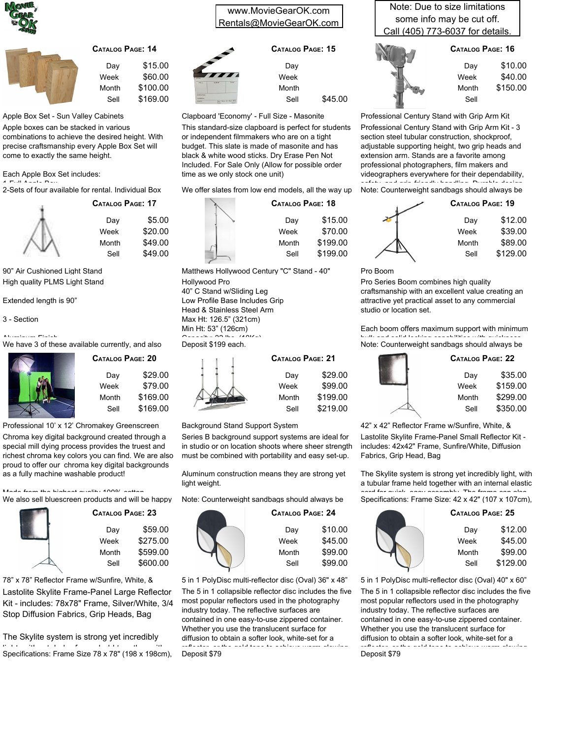



**17 CATALOG PAGE:**

Day Week Month Sell

\$5.00 \$20.00 \$49.00 \$49.00

| Dav   | \$15.00  |
|-------|----------|
| Week  | \$60.00  |
| Month | \$100.00 |
| Sell  | \$169.00 |

Apple Box Set - Sun Valley Cabinets

Apple boxes can be stacked in various combinations to achieve the desired height. With precise craftsmanship every Apple Box Set will come to exactly the same height.

Each Apple Box Set includes:

1-Full Apple Box 2-Sets of four available for rental. Individual Box

High quality PLMS Light Stand 90" Air Cushioned Light Stand

Extended length is 90"

#### 3 - Section

Aluminum Finish

We have 3 of these available currently, and also



| Catalog Page: 20 |          |  |
|------------------|----------|--|
| Dav              | \$29.00  |  |
| Week             | \$79.00  |  |
| Month            | \$169.00 |  |
| Sell             | \$169.00 |  |

Professional 10' x 12' Chromakey Greenscreen

Chroma key digital background created through a special mill dying process provides the truest and richest chroma key colors you can find. We are also proud to offer our chroma key digital backgrounds as a fully machine washable product!

.<br>Made from the highest television in the company countries We also sell bluescreen products and will be happy



**23 CATALOG PAGE:** \$59.00 \$275.00 \$599.00 \$600.00 Day Week Month Sell

Lastolite Skylite Frame-Panel Large Reflector Kit - includes: 78x78" Frame, Silver/White, 3/4 Stop Diffusion Fabrics, Grip Heads, Bag 78" x 78" Reflector Frame w/Sunfire, White, &

The Skylite system is strong yet incredibly light, with a tubular frame held together with Specifications: Frame Size 78 x 78" (198 x 198cm),

### www.MovieGearOK.com Rentals@MovieGearOK.com

|                  | CATALOG PAGE: 15 |         |
|------------------|------------------|---------|
|                  | Day              |         |
| $\boldsymbol{H}$ | Week             |         |
| oε<br>TANT       | Month            |         |
|                  | Sell             | \$45.00 |

Clapboard 'Economy' - Full Size - Masonite

This standard-size clapboard is perfect for students or independent filmmakers who are on a tight budget. This slate is made of masonite and has black & white wood sticks. Dry Erase Pen Not Included. For Sale Only (Allow for possible order time as we only stock one unit)

We offer slates from low end models, all the way up

| CATALOG PAGE: 18 |          |
|------------------|----------|
| Day              | \$15.00  |
| Week             | \$70.00  |
| Month            | \$199.00 |
| Sell             | \$199.00 |
|                  |          |

Hollywood Pro 40" C Stand w/Sliding Leg Low Profile Base Includes Grip Head & Stainless Steel Arm Max Ht: 126.5" (321cm) Min Ht: 53" (126cm)  $\sum_{n=1}^{\infty}$   $\sum_{n=1}^{\infty}$  lbs. (10Kg) Deposit \$199 each. Matthews Hollywood Century "C" Stand - 40"

| <b>CATALOG PAGE: 21</b> |          |
|-------------------------|----------|
| Day                     | \$29.00  |
| Week                    | \$99.00  |
| Month                   | \$199.00 |
| Sell                    | \$219.00 |
|                         |          |

Background Stand Support System

Series B background support systems are ideal for in studio or on location shoots where sheer strength must be combined with portability and easy set-up.

Aluminum construction means they are strong yet light weight.

Note: Counterweight sandbags should always be



The 5 in 1 collapsible reflector disc includes the five most popular reflectors used in the photography industry today. The reflective surfaces are contained in one easy-to-use zippered container. Whether you use the translucent surface for diffusion to obtain a softer look, white-set for a reflector, or the gold tone to achieve warm glowing Deposit \$79 5 in 1 PolyDisc multi-reflector disc (Oval) 36" x 48"

Note: Due to size limitations some info may be cut off. Call (405) 773-6037 for details.



| Day   | \$10.00  |
|-------|----------|
| Week  | \$40.00  |
| Month | \$150.00 |
| Sell  |          |
|       |          |

Professional Century Stand with Grip Arm Kit - 3 section steel tubular construction, shockproof, adjustable supporting height, two grip heads and extension arm. Stands are a favorite among professional photographers, film makers and videographers everywhere for their dependability, safety, and grip-friendly handling. Durable design Note: Counterweight sandbags should always be Professional Century Stand with Grip Arm Kit

| CATALOG PAGE: 19 |  |
|------------------|--|
| \$12.00          |  |
| \$39.00          |  |
| \$89.00          |  |
| \$129.00         |  |
|                  |  |

Pro Boom

Pro Series Boom combines high quality craftsmanship with an excellent value creating an attractive yet practical asset to any commercial studio or location set.

Each boom offers maximum support with minimum bulk and solid locking capabilities with quickness Note: Counterweight sandbags should always be

| <b>CATALOG PAGE: 22</b> |          |
|-------------------------|----------|
| Day                     | \$35.00  |
| Week                    | \$159.00 |
| Month                   | \$299.00 |
| Sell                    | \$350.00 |
|                         |          |

42" x 42" Reflector Frame w/Sunfire, White, &

Lastolite Skylite Frame-Panel Small Reflector Kit includes: 42x42" Frame, Sunfire/White, Diffusion Fabrics, Grip Head, Bag

The Skylite system is strong yet incredibly light, with a tubular frame held together with an internal elastic cord for quick, easy assembly. The frame can also

Specifications: Frame Size: 42 x 42" (107 x 107cm),

| CATALOG PAGE: 25 |          |
|------------------|----------|
| Day              | \$12.00  |
| Week             | \$45.00  |
| Month            | \$99.00  |
| Sell             | \$129.00 |
|                  |          |

The 5 in 1 collapsible reflector disc includes the five most popular reflectors used in the photography industry today. The reflective surfaces are contained in one easy-to-use zippered container. Whether you use the translucent surface for diffusion to obtain a softer look, white-set for a reflector, or the gold tone to achieve warm glowing Deposit \$79 5 in 1 PolyDisc multi-reflector disc (Oval) 40" x 60"

| atalog Page: 20 |          |  |
|-----------------|----------|--|
| Dav             | \$29.00  |  |
| Week            | \$79.00  |  |
| Month           | \$169.00 |  |
|                 |          |  |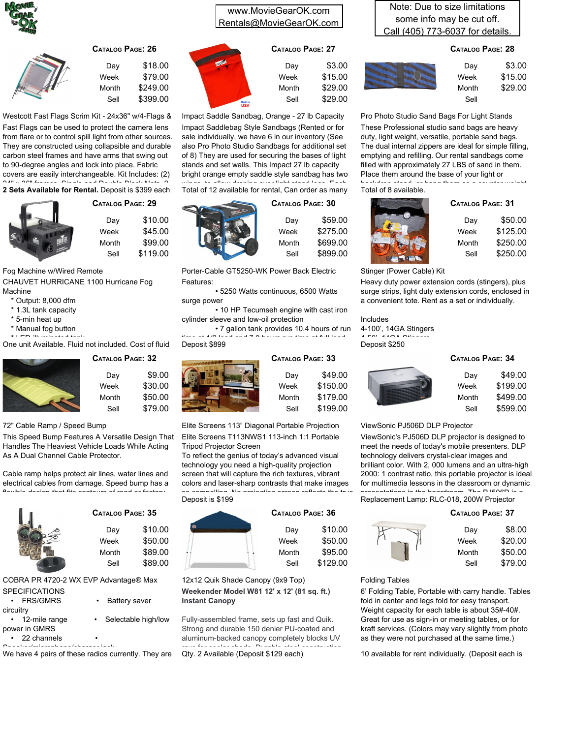

| Dav   | \$18.00  |
|-------|----------|
| Week  | \$79.00  |
| Month | \$249.00 |
| Sell  | \$399.00 |

**29 CATALOG PAGE:**

Day Week Month

\$10.00 \$45.00 \$99.00 \$119.00

Fast Flags can be used to protect the camera lens from flare or to control spill light from other sources. They are constructed using collapsible and durable carbon steel frames and have arms that swing out to 90-degree angles and lock into place. Fabric Westcott Fast Flags Scrim Kit - 24x36" w/4-Flags &

covers are easily interchangeable. Kit Includes: (2) 24" x 36" frames, Single and Double Black Nets, 2- **2 Sets Available for Rental.** Deposit is \$399 each



Sell

CHAUVET HURRICANE 1100 Hurricane Fog Machine Fog Machine w/Wired Remote

\* Output: 8,000 dfm

- \* 1.3L tank capacity
- \* 5-min heat up
- 
- \* Manual fog button \* LED-illuminated tank

One unit Available. Fluid not included. Cost of fluid



#### **32 CATALOG PAGE:** \$9.00 \$30.00 \$50.00 \$79.00 Day Week Month Sell

#### 72" Cable Ramp / Speed Bump

This Speed Bump Features A Versatile Design That Handles The Heaviest Vehicle Loads While Acting As A Dual Channel Cable Protector.

Cable ramp helps protect air lines, water lines and electrical cables from damage. Speed bump has a flexible design that fits contours of road or factory



# **35 CATALOG PAGE:**

| \$10.00 |
|---------|
| \$50.00 |
| \$89.00 |
| \$89.00 |
|         |

COBRA PR 4720-2 WX EVP Advantage® Max

- **SPECIFICATIONS FRS/GMRS** • Battery saver circuitry
- 12-mile range Selectable high/low power in GMRS
- 

• 22 channels •

Speaker/microphone/charger jack<br>We have 4 pairs of these radios currently. They are

### www.MovieGearOK.com Rentals@MovieGearOK.com

### **27 CATALOG PAGE:**



Impact Saddlebag Style Sandbags (Rented or for sale individually, we have 6 in our inventory (See also Pro Photo Studio Sandbags for additional set of 8) They are used for securing the bases of light stands and set walls. This Impact 27 lb capacity bright orange empty saddle style sandbag has two<br>where the elliant density style that there has has Impact Saddle Sandbag, Orange - 27 lb Capacity

wings, to allow draping over light stand legs. Each<br>Total of 12 available for rental, Can order as many



\$59.00 \$275.00 \$699.00 \$899.00 Day Week Month Sell

> \$49.00 \$150.00 \$179.00 \$199.00

> \$10.00 \$50.00 \$95.00 \$129.00

**30 CATALOG PAGE:**

Features: Porter-Cable GT5250-WK Power Back Electric

• 5250 Watts continuous, 6500 Watts surge power

• 10 HP Tecumseh engine with cast iron cylinder sleeve and low-oil protection

• 7 gallon tank provides 10.4 hours of run time at 1/2 load and 7.0 hours run time at full load Deposit \$899



Elite Screens T113NWS1 113-inch 1:1 Portable Tripod Projector Screen Elite Screens 113" Diagonal Portable Projection

To reflect the genius of today's advanced visual technology you need a high-quality projection screen that will capture the rich textures, vibrant colors and laser-sharp contrasts that make images





**Weekender Model W81 12' x 12' (81 sq. ft.) Instant Canopy** 12x12 Quik Shade Canopy (9x9 Top)

Fully-assembled frame, sets up fast and Quik. Strong and durable 150 denier PU-coated and aluminum-backed canopy completely blocks UV rays for cooler shade. Durable steel construction Qty. 2 Available (Deposit \$129 each)

Note: Due to size limitations some info may be cut off. Call (405) 773-6037 for details.

### **28 CATALOG PAGE:**



These Professional studio sand bags are heavy duty, light weight, versatile, portable sand bags. The dual internal zippers are ideal for simple filling, emptying and refilling. Our rental sandbags come filled with approximately 27 LBS of sand in them. Place them around the base of your light or Pro Photo Studio Sand Bags For Light Stands

backdrop stand, or hang them as a counter weight. Total of 8 available.



| <b>CATALOG PAGE: 31</b> |          |
|-------------------------|----------|
| Dav                     | \$50.00  |
| Week                    | \$125.00 |
| Month                   | \$250.00 |
| Sell                    | \$250.00 |

Stinger (Power Cable) Kit

Heavy duty power extension cords (stingers), plus surge strips, light duty extension cords, enclosed in a convenient tote. Rent as a set or individually.

Includes

4-100', 14GA Stingers  $4.50$ ,  $140A$   $\text{O}$ Deposit \$250

### **34 CATALOG PAGE:**



### ViewSonic PJ506D DLP Projector

ViewSonic's PJ506D DLP projector is designed to meet the needs of today's mobile presenters. DLP technology delivers crystal-clear images and brilliant color. With 2, 000 lumens and an ultra-high 2000: 1 contrast ratio, this portable projector is ideal for multimedia lessons in the classroom or dynamic<br>specialistics in the hastelesses. The DJ500D is a

presentations in the boardroom. The PJ506D is a Replacement Lamp: RLC-018, 200W Projector

| CATALOG PAGE: 37 |         |
|------------------|---------|
| Day              | \$8.00  |
| Week             | \$20.00 |
| Month            | \$50.00 |
| Sell             | \$79.00 |

#### Folding Tables

6' Folding Table, Portable with carry handle. Tables fold in center and legs fold for easy transport. Weight capacity for each table is about 35#-40#. Great for use as sign-in or meeting tables, or for kraft services. (Colors may vary slightly from photo as they were not purchased at the same time.)

10 available for rent individually. (Deposit each is